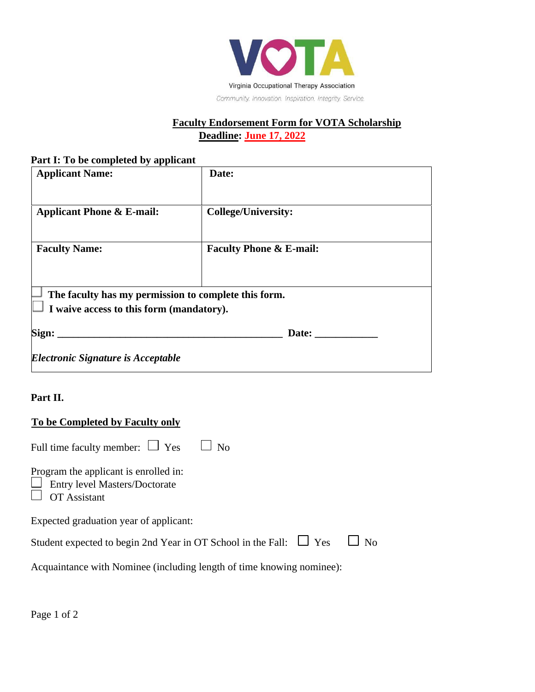

# **Faculty Endorsement Form for VOTA Scholarship Deadline: June 17, 2022**

### **Part I: To be completed by applicant**

| Date:                                                                                            |  |  |  |
|--------------------------------------------------------------------------------------------------|--|--|--|
| <b>College/University:</b>                                                                       |  |  |  |
| <b>Faculty Phone &amp; E-mail:</b>                                                               |  |  |  |
| The faculty has my permission to complete this form.<br>I waive access to this form (mandatory). |  |  |  |
| Date:                                                                                            |  |  |  |
|                                                                                                  |  |  |  |

# **Part II.**

#### **To be Completed by Faculty only**

| Full time faculty member: $\Box$ Yes $\Box$ No                                                       |  |
|------------------------------------------------------------------------------------------------------|--|
| Program the applicant is enrolled in:<br><b>Entry level Masters/Doctorate</b><br><b>OT</b> Assistant |  |
| Expected graduation year of applicant:                                                               |  |
| Student expected to begin 2nd Year in OT School in the Fall: $\Box$ Yes $\Box$ No                    |  |
| Acquaintance with Nominee (including length of time knowing nominee):                                |  |

Page 1 of 2